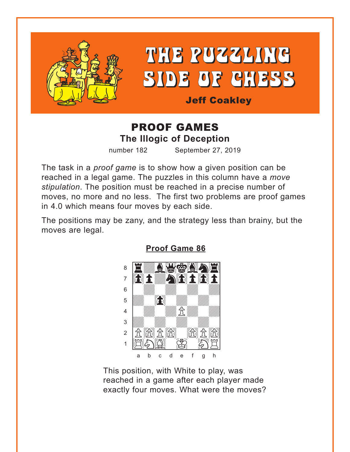<span id="page-0-0"></span>

# THE PUZZLING SIDE OF CHESS

**Jeff Coakley** 

# **PROOF GAMES The Illogic of Deception**

number 182 September 27, 2019

The task in a *proof game* is to show how a given position can be reached in a legal game. The puzzles in this column have a move stipulation. The position must be reached in a precise number of moves, no more and no less. The first two problems are proof games in 4.0 which means four moves by each side.

The positions may be zany, and the strategy less than brainy, but the moves are legal.



**Proof Game 86** 

This position, with White to play, was reached in a game after each player made exactly four moves. What were the moves?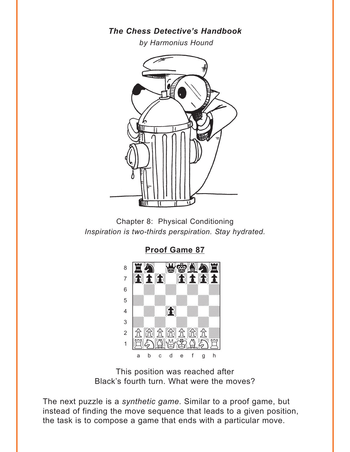#### **The Chess Detective's Handbook**

by Harmonius Hound

<span id="page-1-0"></span>

Chapter 8: Physical Conditioning Inspiration is two-thirds perspiration. Stay hydrated.



**Proof Game 87** 

This position was reached after Black's fourth turn. What were the moves?

The next puzzle is a synthetic game. Similar to a proof game, but instead of finding the move sequence that leads to a given position, the task is to compose a game that ends with a particular move.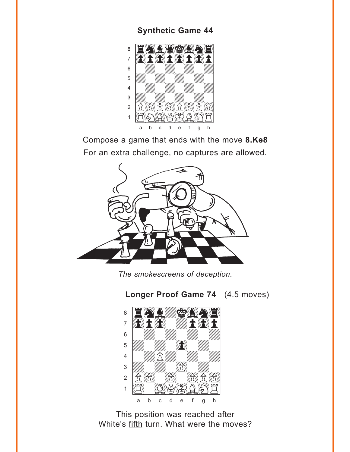## **[Synthetic Game 44](#page-5-0)**

<span id="page-2-0"></span>

Compose a game that ends with the move **8.Ke8** For an extra challenge, no captures are allowed.



*The smokescreens of deception.*





This position was reached after White's fifth turn. What were the moves?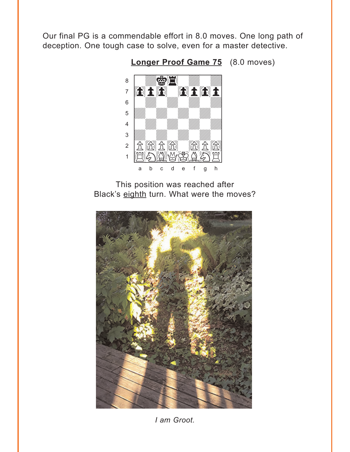<span id="page-3-0"></span>Our final PG is a commendable effort in 8.0 moves. One long path of deception. One tough case to solve, even for a master detective.



Longer Proof Game 75 (8.0 moves)

This position was reached after Black's eighth turn. What were the moves?



I am Groot.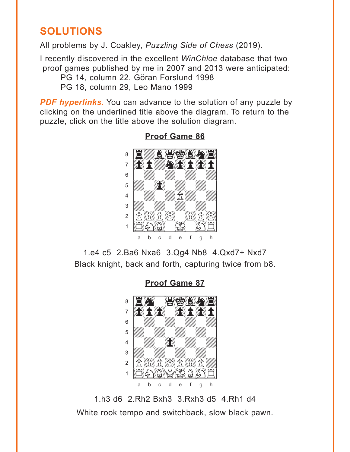# <span id="page-4-0"></span>**SOLUTIONS**

All problems by J. Coakley, Puzzling Side of Chess (2019).

I recently discovered in the excellent WinChloe database that two proof games published by me in 2007 and 2013 were anticipated: PG 14, column 22, Göran Forslund 1998 PG 18, column 29, Leo Mano 1999

**PDF hyperlinks.** You can advance to the solution of any puzzle by clicking on the underlined title above the diagram. To return to the puzzle, click on the title above the solution diagram.



## **Proof Game 86**

1.e4 c5 2.Ba6 Nxa6 3.Qg4 Nb8 4.Qxd7+ Nxd7 Black knight, back and forth, capturing twice from b8.

**Proof Game 87** 



1.h3 d6 2.Rh2 Bxh3 3.Rxh3 d5 4.Rh1 d4 White rook tempo and switchback, slow black pawn.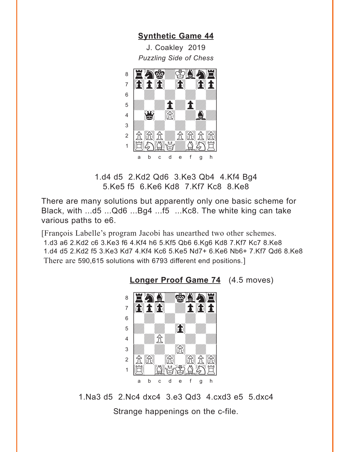**[Synthetic Game 44](#page-2-0)**

<span id="page-5-0"></span>J. Coakley 2019 *Puzzling Side of Chess* w\_\_\_\_\_\_\_\_w



1.d4 d5 2.Kd2 Qd6 3.Ke3 Qb4 4.Kf4 Bg4 5.Ke5 f5 6.Ke6 Kd8 7.Kf7 Kc8 8.Ke8

There are many solutions but apparently only one basic scheme for Black, with ...d5 ...Qd6 ...Bg4 ...f5 ...Kc8. The white king can take various paths to e6.

[François Labelle's program Jacobi has unearthed two other schemes. 1.d3 a6 2.Kd2 c6 3.Ke3 f6 4.Kf4 h6 5.Kf5 Qb6 6.Kg6 Kd8 7.Kf7 Kc7 8.Ke8 1.d4 d5 2.Kd2 f5 3.Ke3 Kd7 4.Kf4 Kc6 5.Ke5 Nd7+ 6.Ke6 Nb6+ 7.Kf7 Qd6 8.Ke8 There are 590,615 solutions with 6793 different end positions.]



**[Longer Proof Game 74](#page-2-0)** (4.5 moves)

1.Na3 d5 2.Nc4 dxc4 3.e3 Qd3 4.cxd3 e5 5.dxc4 Strange happenings on the c-file.